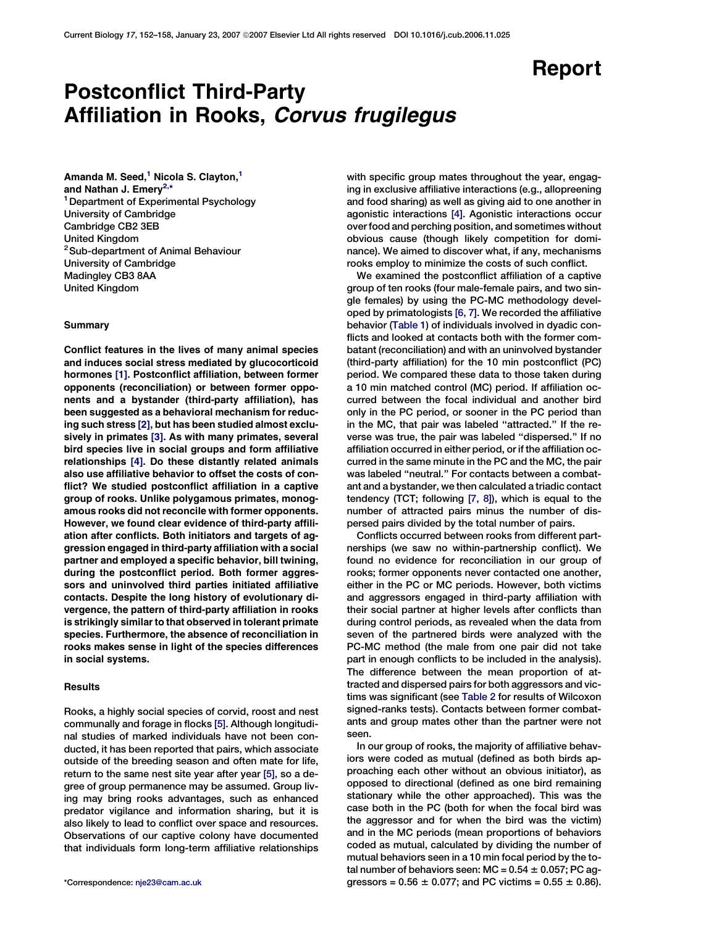# Report

# Postconflict Third-Party Affiliation in Rooks, Corvus frugilegus

Amanda M. Seed,<sup>1</sup> Nicola S. Clayton,<sup>1</sup> and Nathan J. Emery<sup>2,</sup>\* <sup>1</sup> Department of Experimental Psychology University of Cambridge Cambridge CB2 3EB United Kingdom <sup>2</sup>Sub-department of Animal Behaviour University of Cambridge Madingley CB3 8AA United Kingdom

# **Summary**

Conflict features in the lives of many animal species and induces social stress mediated by glucocorticoid hormones [\[1\].](#page-5-0) Postconflict affiliation, between former opponents (reconciliation) or between former opponents and a bystander (third-party affiliation), has been suggested as a behavioral mechanism for reducing such stress [\[2\],](#page-5-0) but has been studied almost exclusively in primates [\[3\].](#page-5-0) As with many primates, several bird species live in social groups and form affiliative relationships [\[4\].](#page-5-0) Do these distantly related animals also use affiliative behavior to offset the costs of conflict? We studied postconflict affiliation in a captive group of rooks. Unlike polygamous primates, monogamous rooks did not reconcile with former opponents. However, we found clear evidence of third-party affiliation after conflicts. Both initiators and targets of aggression engaged in third-party affiliation with a social partner and employed a specific behavior, bill twining, during the postconflict period. Both former aggressors and uninvolved third parties initiated affiliative contacts. Despite the long history of evolutionary divergence, the pattern of third-party affiliation in rooks is strikingly similar to that observed in tolerant primate species. Furthermore, the absence of reconciliation in rooks makes sense in light of the species differences in social systems.

# Results

Rooks, a highly social species of corvid, roost and nest communally and forage in flocks [\[5\].](#page-5-0) Although longitudinal studies of marked individuals have not been conducted, it has been reported that pairs, which associate outside of the breeding season and often mate for life, return to the same nest site year after year [\[5\]](#page-5-0), so a degree of group permanence may be assumed. Group living may bring rooks advantages, such as enhanced predator vigilance and information sharing, but it is also likely to lead to conflict over space and resources. Observations of our captive colony have documented that individuals form long-term affiliative relationships

with specific group mates throughout the year, engaging in exclusive affiliative interactions (e.g., allopreening and food sharing) as well as giving aid to one another in agonistic interactions [\[4\]](#page-5-0). Agonistic interactions occur over food and perching position, and sometimes without obvious cause (though likely competition for dominance). We aimed to discover what, if any, mechanisms rooks employ to minimize the costs of such conflict.

We examined the postconflict affiliation of a captive group of ten rooks (four male-female pairs, and two single females) by using the PC-MC methodology developed by primatologists [\[6, 7\]](#page-5-0). We recorded the affiliative behavior ([Table 1\)](#page-1-0) of individuals involved in dyadic conflicts and looked at contacts both with the former combatant (reconciliation) and with an uninvolved bystander (third-party affiliation) for the 10 min postconflict (PC) period. We compared these data to those taken during a 10 min matched control (MC) period. If affiliation occurred between the focal individual and another bird only in the PC period, or sooner in the PC period than in the MC, that pair was labeled "attracted." If the reverse was true, the pair was labeled ''dispersed.'' If no affiliation occurred in either period, or if the affiliation occurred in the same minute in the PC and the MC, the pair was labeled ''neutral.'' For contacts between a combatant and a bystander, we then calculated a triadic contact tendency (TCT; following [\[7, 8\]\)](#page-5-0), which is equal to the number of attracted pairs minus the number of dispersed pairs divided by the total number of pairs.

Conflicts occurred between rooks from different partnerships (we saw no within-partnership conflict). We found no evidence for reconciliation in our group of rooks; former opponents never contacted one another, either in the PC or MC periods. However, both victims and aggressors engaged in third-party affiliation with their social partner at higher levels after conflicts than during control periods, as revealed when the data from seven of the partnered birds were analyzed with the PC-MC method (the male from one pair did not take part in enough conflicts to be included in the analysis). The difference between the mean proportion of attracted and dispersed pairs for both aggressors and victims was significant (see [Table 2](#page-1-0) for results of Wilcoxon signed-ranks tests). Contacts between former combatants and group mates other than the partner were not seen.

In our group of rooks, the majority of affiliative behaviors were coded as mutual (defined as both birds approaching each other without an obvious initiator), as opposed to directional (defined as one bird remaining stationary while the other approached). This was the case both in the PC (both for when the focal bird was the aggressor and for when the bird was the victim) and in the MC periods (mean proportions of behaviors coded as mutual, calculated by dividing the number of mutual behaviors seen in a 10 min focal period by the total number of behaviors seen:  $MC = 0.54 \pm 0.057$ ; PC ag\*Correspondence: [nje23@cam.ac.uk](mailto:nje23@cam.ac.uk) extending the state gressors =  $0.56 \pm 0.077$ ; and PC victims =  $0.55 \pm 0.86$ ).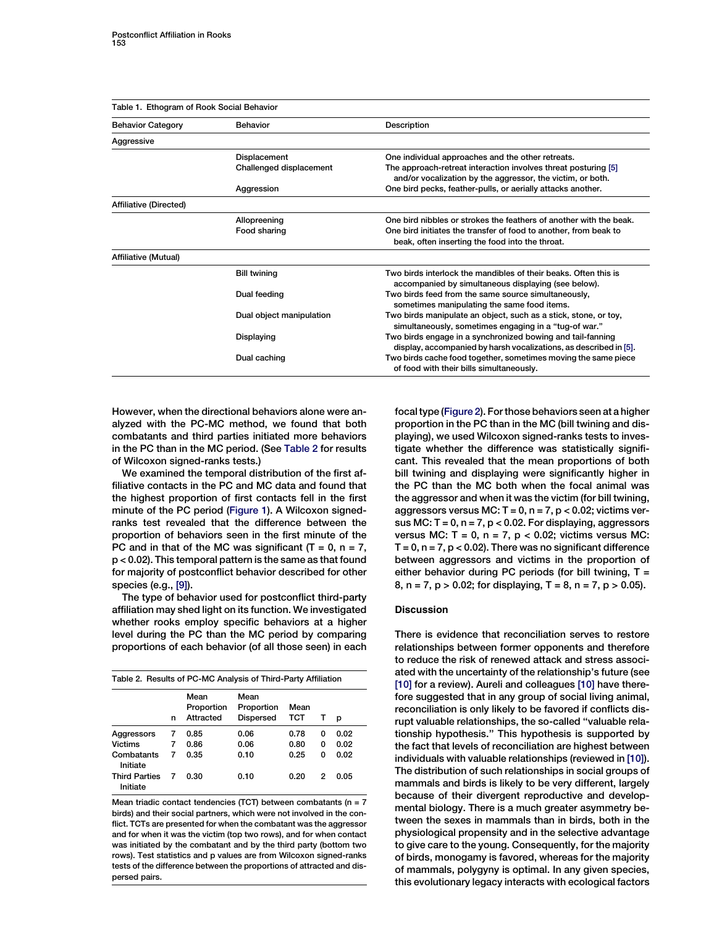<span id="page-1-0"></span>

| Table 1. Ethogram of Rook Social Behavior |                                         |                                                                                                                                                                                           |  |  |  |  |
|-------------------------------------------|-----------------------------------------|-------------------------------------------------------------------------------------------------------------------------------------------------------------------------------------------|--|--|--|--|
| <b>Behavior Category</b>                  | Behavior                                | Description                                                                                                                                                                               |  |  |  |  |
| Aggressive                                |                                         |                                                                                                                                                                                           |  |  |  |  |
|                                           | Displacement<br>Challenged displacement | One individual approaches and the other retreats.<br>The approach-retreat interaction involves threat posturing [5]<br>and/or vocalization by the aggressor, the victim, or both.         |  |  |  |  |
|                                           | Aggression                              | One bird pecks, feather-pulls, or aerially attacks another.                                                                                                                               |  |  |  |  |
| <b>Affiliative (Directed)</b>             |                                         |                                                                                                                                                                                           |  |  |  |  |
|                                           | Allopreening<br>Food sharing            | One bird nibbles or strokes the feathers of another with the beak.<br>One bird initiates the transfer of food to another, from beak to<br>beak, often inserting the food into the throat. |  |  |  |  |
| Affiliative (Mutual)                      |                                         |                                                                                                                                                                                           |  |  |  |  |
|                                           | <b>Bill twining</b>                     | Two birds interlock the mandibles of their beaks. Often this is<br>accompanied by simultaneous displaying (see below).                                                                    |  |  |  |  |
|                                           | Dual feeding                            | Two birds feed from the same source simultaneously,<br>sometimes manipulating the same food items.                                                                                        |  |  |  |  |
|                                           | Dual object manipulation                | Two birds manipulate an object, such as a stick, stone, or toy,<br>simultaneously, sometimes engaging in a "tug-of war."                                                                  |  |  |  |  |
|                                           | Displaying                              | Two birds engage in a synchronized bowing and tail-fanning<br>display, accompanied by harsh vocalizations, as described in [5].                                                           |  |  |  |  |
|                                           | Dual caching                            | Two birds cache food together, sometimes moving the same piece<br>of food with their bills simultaneously.                                                                                |  |  |  |  |

However, when the directional behaviors alone were analyzed with the PC-MC method, we found that both combatants and third parties initiated more behaviors in the PC than in the MC period. (See Table 2 for results of Wilcoxon signed-ranks tests.)

We examined the temporal distribution of the first affiliative contacts in the PC and MC data and found that the highest proportion of first contacts fell in the first minute of the PC period ([Figure 1\)](#page-2-0). A Wilcoxon signedranks test revealed that the difference between the proportion of behaviors seen in the first minute of the PC and in that of the MC was significant  $(T = 0, n = 7,$ p < 0.02). This temporal pattern is the same as that found for majority of postconflict behavior described for other species (e.g., [\[9\]](#page-5-0)).

The type of behavior used for postconflict third-party affiliation may shed light on its function. We investigated whether rooks employ specific behaviors at a higher level during the PC than the MC period by comparing proportions of each behavior (of all those seen) in each

| Table 2. Results of PC-MC Analysis of Third-Party Affiliation |   |                                 |                                        |                    |   |      |  |  |  |
|---------------------------------------------------------------|---|---------------------------------|----------------------------------------|--------------------|---|------|--|--|--|
|                                                               | n | Mean<br>Proportion<br>Attracted | Mean<br>Proportion<br><b>Dispersed</b> | Mean<br><b>TCT</b> | т | р    |  |  |  |
| Aggressors                                                    | 7 | 0.85                            | 0.06                                   | 0.78               | 0 | 0.02 |  |  |  |
| Victims                                                       | 7 | 0.86                            | 0.06                                   | 0.80               | 0 | 0.02 |  |  |  |
| Combatants<br>Initiate                                        | 7 | 0.35                            | 0.10                                   | 0.25               | 0 | 0.02 |  |  |  |
| <b>Third Parties</b><br>Initiate                              | 7 | 0.30                            | 0.10                                   | 0.20               | 2 | 0.05 |  |  |  |

Mean triadic contact tendencies (TCT) between combatants ( $n = 7$ birds) and their social partners, which were not involved in the conflict. TCTs are presented for when the combatant was the aggressor and for when it was the victim (top two rows), and for when contact was initiated by the combatant and by the third party (bottom two rows). Test statistics and p values are from Wilcoxon signed-ranks tests of the difference between the proportions of attracted and dispersed pairs.

focal type [\(Figure 2\)](#page-3-0). For those behaviors seen at a higher proportion in the PC than in the MC (bill twining and displaying), we used Wilcoxon signed-ranks tests to investigate whether the difference was statistically significant. This revealed that the mean proportions of both bill twining and displaying were significantly higher in the PC than the MC both when the focal animal was the aggressor and when it was the victim (for bill twining, aggressors versus MC:  $T = 0$ ,  $n = 7$ ,  $p < 0.02$ ; victims versus MC:  $T = 0$ ,  $n = 7$ ,  $p < 0.02$ . For displaying, aggressors versus MC:  $T = 0$ ,  $n = 7$ ,  $p < 0.02$ ; victims versus MC:  $T = 0$ ,  $n = 7$ ,  $p < 0.02$ ). There was no significant difference between aggressors and victims in the proportion of either behavior during PC periods (for bill twining,  $T =$ 8,  $n = 7$ ,  $p > 0.02$ ; for displaying,  $T = 8$ ,  $n = 7$ ,  $p > 0.05$ ).

# Discussion

There is evidence that reconciliation serves to restore relationships between former opponents and therefore to reduce the risk of renewed attack and stress associated with the uncertainty of the relationship's future (see [\[10\]](#page-5-0) for a review). Aureli and colleagues [10] have therefore suggested that in any group of social living animal, reconciliation is only likely to be favored if conflicts disrupt valuable relationships, the so-called ''valuable relationship hypothesis.'' This hypothesis is supported by the fact that levels of reconciliation are highest between individuals with valuable relationships (reviewed in [\[10\]](#page-5-0)). The distribution of such relationships in social groups of mammals and birds is likely to be very different, largely because of their divergent reproductive and developmental biology. There is a much greater asymmetry between the sexes in mammals than in birds, both in the physiological propensity and in the selective advantage to give care to the young. Consequently, for the majority of birds, monogamy is favored, whereas for the majority of mammals, polygyny is optimal. In any given species, this evolutionary legacy interacts with ecological factors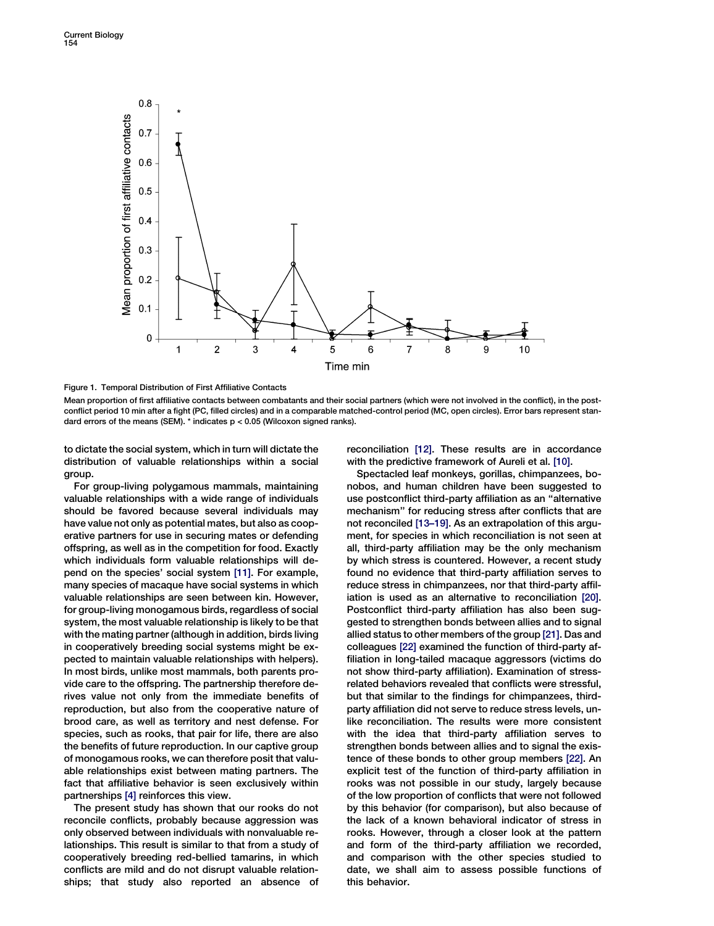<span id="page-2-0"></span>

Figure 1. Temporal Distribution of First Affiliative Contacts

Mean proportion of first affiliative contacts between combatants and their social partners (which were not involved in the conflict), in the postconflict period 10 min after a fight (PC, filled circles) and in a comparable matched-control period (MC, open circles). Error bars represent standard errors of the means (SEM). \* indicates p < 0.05 (Wilcoxon signed ranks).

to dictate the social system, which in turn will dictate the distribution of valuable relationships within a social group.

For group-living polygamous mammals, maintaining valuable relationships with a wide range of individuals should be favored because several individuals may have value not only as potential mates, but also as cooperative partners for use in securing mates or defending offspring, as well as in the competition for food. Exactly which individuals form valuable relationships will depend on the species' social system [\[11\]](#page-5-0). For example, many species of macaque have social systems in which valuable relationships are seen between kin. However, for group-living monogamous birds, regardless of social system, the most valuable relationship is likely to be that with the mating partner (although in addition, birds living in cooperatively breeding social systems might be expected to maintain valuable relationships with helpers). In most birds, unlike most mammals, both parents provide care to the offspring. The partnership therefore derives value not only from the immediate benefits of reproduction, but also from the cooperative nature of brood care, as well as territory and nest defense. For species, such as rooks, that pair for life, there are also the benefits of future reproduction. In our captive group of monogamous rooks, we can therefore posit that valuable relationships exist between mating partners. The fact that affiliative behavior is seen exclusively within partnerships [\[4\]](#page-5-0) reinforces this view.

The present study has shown that our rooks do not reconcile conflicts, probably because aggression was only observed between individuals with nonvaluable relationships. This result is similar to that from a study of cooperatively breeding red-bellied tamarins, in which conflicts are mild and do not disrupt valuable relationships; that study also reported an absence of reconciliation [\[12\].](#page-5-0) These results are in accordance with the predictive framework of Aureli et al. [\[10\].](#page-5-0)

Spectacled leaf monkeys, gorillas, chimpanzees, bonobos, and human children have been suggested to use postconflict third-party affiliation as an ''alternative mechanism'' for reducing stress after conflicts that are not reconciled [\[13–19\].](#page-5-0) As an extrapolation of this argument, for species in which reconciliation is not seen at all, third-party affiliation may be the only mechanism by which stress is countered. However, a recent study found no evidence that third-party affiliation serves to reduce stress in chimpanzees, nor that third-party affiliation is used as an alternative to reconciliation [\[20\].](#page-5-0) Postconflict third-party affiliation has also been suggested to strengthen bonds between allies and to signal allied status to other members of the group [\[21\].](#page-5-0) Das and colleagues [\[22\]](#page-5-0) examined the function of third-party affiliation in long-tailed macaque aggressors (victims do not show third-party affiliation). Examination of stressrelated behaviors revealed that conflicts were stressful, but that similar to the findings for chimpanzees, thirdparty affiliation did not serve to reduce stress levels, unlike reconciliation. The results were more consistent with the idea that third-party affiliation serves to strengthen bonds between allies and to signal the existence of these bonds to other group members [\[22\].](#page-5-0) An explicit test of the function of third-party affiliation in rooks was not possible in our study, largely because of the low proportion of conflicts that were not followed by this behavior (for comparison), but also because of the lack of a known behavioral indicator of stress in rooks. However, through a closer look at the pattern and form of the third-party affiliation we recorded, and comparison with the other species studied to date, we shall aim to assess possible functions of this behavior.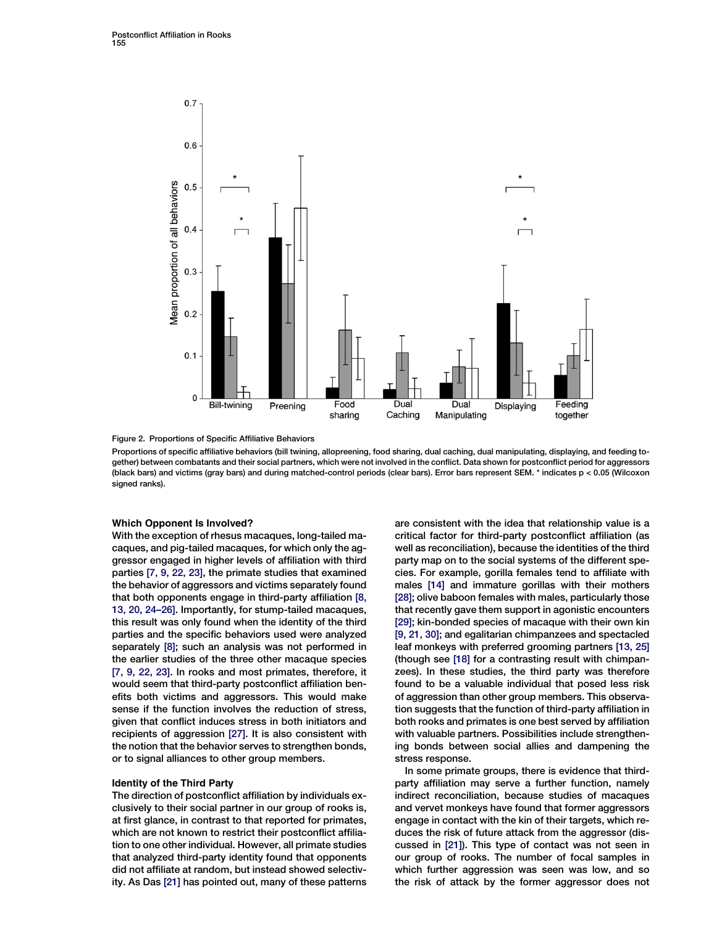<span id="page-3-0"></span>

Figure 2. Proportions of Specific Affiliative Behaviors

Proportions of specific affiliative behaviors (bill twining, allopreening, food sharing, dual caching, dual manipulating, displaying, and feeding together) between combatants and their social partners, which were not involved in the conflict. Data shown for postconflict period for aggressors (black bars) and victims (gray bars) and during matched-control periods (clear bars). Error bars represent SEM. \* indicates p < 0.05 (Wilcoxon signed ranks).

# Which Opponent Is Involved?

With the exception of rhesus macaques, long-tailed macaques, and pig-tailed macaques, for which only the aggressor engaged in higher levels of affiliation with third parties [\[7, 9, 22, 23\]](#page-5-0), the primate studies that examined the behavior of aggressors and victims separately found that both opponents engage in third-party affiliation [\[8,](#page-5-0) [13, 20, 24–26\]](#page-5-0). Importantly, for stump-tailed macaques, this result was only found when the identity of the third parties and the specific behaviors used were analyzed separately [\[8\]](#page-5-0); such an analysis was not performed in the earlier studies of the three other macaque species [\[7, 9, 22, 23\].](#page-5-0) In rooks and most primates, therefore, it would seem that third-party postconflict affiliation benefits both victims and aggressors. This would make sense if the function involves the reduction of stress, given that conflict induces stress in both initiators and recipients of aggression [\[27\]](#page-5-0). It is also consistent with the notion that the behavior serves to strengthen bonds, or to signal alliances to other group members.

# Identity of the Third Party

The direction of postconflict affiliation by individuals exclusively to their social partner in our group of rooks is, at first glance, in contrast to that reported for primates, which are not known to restrict their postconflict affiliation to one other individual. However, all primate studies that analyzed third-party identity found that opponents did not affiliate at random, but instead showed selectivity. As Das [\[21\]](#page-5-0) has pointed out, many of these patterns are consistent with the idea that relationship value is a critical factor for third-party postconflict affiliation (as well as reconciliation), because the identities of the third party map on to the social systems of the different species. For example, gorilla females tend to affiliate with males [\[14\]](#page-5-0) and immature gorillas with their mothers [\[28\]](#page-5-0); olive baboon females with males, particularly those that recently gave them support in agonistic encounters [\[29\]](#page-5-0); kin-bonded species of macaque with their own kin [\[9, 21, 30\]](#page-5-0); and egalitarian chimpanzees and spectacled leaf monkeys with preferred grooming partners [\[13, 25\]](#page-5-0) (though see [\[18\]](#page-5-0) for a contrasting result with chimpanzees). In these studies, the third party was therefore found to be a valuable individual that posed less risk of aggression than other group members. This observation suggests that the function of third-party affiliation in both rooks and primates is one best served by affiliation with valuable partners. Possibilities include strengthening bonds between social allies and dampening the stress response.

In some primate groups, there is evidence that thirdparty affiliation may serve a further function, namely indirect reconciliation, because studies of macaques and vervet monkeys have found that former aggressors engage in contact with the kin of their targets, which reduces the risk of future attack from the aggressor (discussed in [\[21\]\)](#page-5-0). This type of contact was not seen in our group of rooks. The number of focal samples in which further aggression was seen was low, and so the risk of attack by the former aggressor does not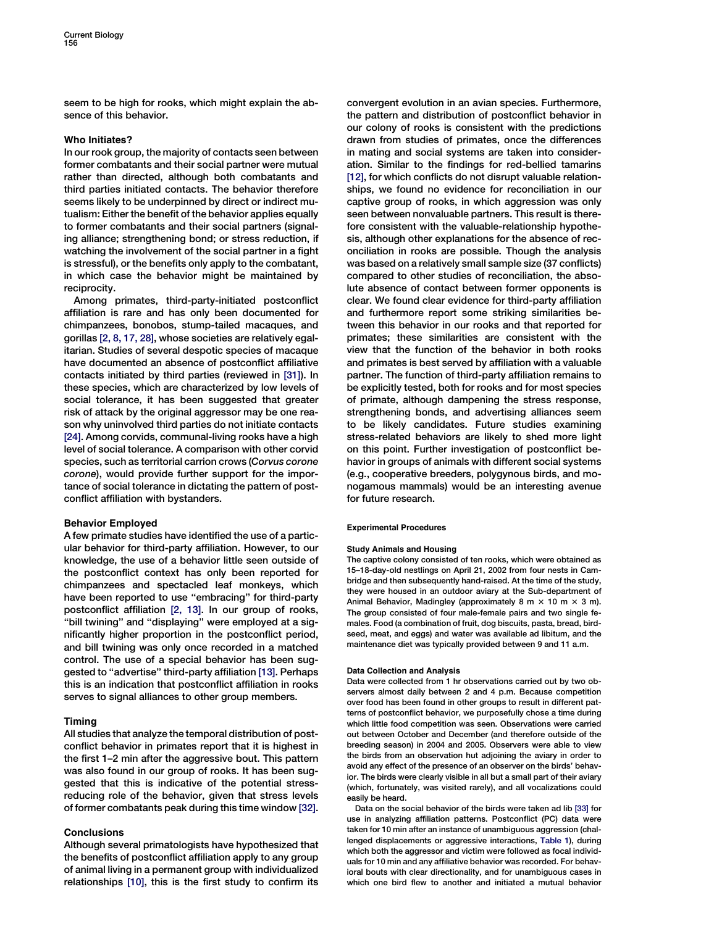seem to be high for rooks, which might explain the absence of this behavior.

# Who Initiates?

In our rook group, the majority of contacts seen between former combatants and their social partner were mutual rather than directed, although both combatants and third parties initiated contacts. The behavior therefore seems likely to be underpinned by direct or indirect mutualism: Either the benefit of the behavior applies equally to former combatants and their social partners (signaling alliance; strengthening bond; or stress reduction, if watching the involvement of the social partner in a fight is stressful), or the benefits only apply to the combatant, in which case the behavior might be maintained by reciprocity.

Among primates, third-party-initiated postconflict affiliation is rare and has only been documented for chimpanzees, bonobos, stump-tailed macaques, and gorillas [\[2, 8, 17, 28\]](#page-5-0), whose societies are relatively egalitarian. Studies of several despotic species of macaque have documented an absence of postconflict affiliative contacts initiated by third parties (reviewed in [\[31\]](#page-5-0)). In these species, which are characterized by low levels of social tolerance, it has been suggested that greater risk of attack by the original aggressor may be one reason why uninvolved third parties do not initiate contacts [\[24\]](#page-5-0). Among corvids, communal-living rooks have a high level of social tolerance. A comparison with other corvid species, such as territorial carrion crows (Corvus corone corone), would provide further support for the importance of social tolerance in dictating the pattern of postconflict affiliation with bystanders.

#### Behavior Employed

A few primate studies have identified the use of a particular behavior for third-party affiliation. However, to our knowledge, the use of a behavior little seen outside of the postconflict context has only been reported for chimpanzees and spectacled leaf monkeys, which have been reported to use ''embracing'' for third-party postconflict affiliation [\[2, 13\].](#page-5-0) In our group of rooks, ''bill twining'' and ''displaying'' were employed at a significantly higher proportion in the postconflict period, and bill twining was only once recorded in a matched control. The use of a special behavior has been suggested to ''advertise'' third-party affiliation [\[13\].](#page-5-0) Perhaps this is an indication that postconflict affiliation in rooks serves to signal alliances to other group members.

# Timing

All studies that analyze the temporal distribution of postconflict behavior in primates report that it is highest in the first 1–2 min after the aggressive bout. This pattern was also found in our group of rooks. It has been suggested that this is indicative of the potential stressreducing role of the behavior, given that stress levels of former combatants peak during this time window [\[32\].](#page-6-0)

#### **Conclusions**

Although several primatologists have hypothesized that the benefits of postconflict affiliation apply to any group of animal living in a permanent group with individualized relationships [\[10\],](#page-5-0) this is the first study to confirm its convergent evolution in an avian species. Furthermore, the pattern and distribution of postconflict behavior in our colony of rooks is consistent with the predictions drawn from studies of primates, once the differences in mating and social systems are taken into consideration. Similar to the findings for red-bellied tamarins [\[12\]](#page-5-0), for which conflicts do not disrupt valuable relationships, we found no evidence for reconciliation in our captive group of rooks, in which aggression was only seen between nonvaluable partners. This result is therefore consistent with the valuable-relationship hypothesis, although other explanations for the absence of reconciliation in rooks are possible. Though the analysis was based on a relatively small sample size (37 conflicts) compared to other studies of reconciliation, the absolute absence of contact between former opponents is clear. We found clear evidence for third-party affiliation and furthermore report some striking similarities between this behavior in our rooks and that reported for primates; these similarities are consistent with the view that the function of the behavior in both rooks and primates is best served by affiliation with a valuable partner. The function of third-party affiliation remains to be explicitly tested, both for rooks and for most species of primate, although dampening the stress response, strengthening bonds, and advertising alliances seem to be likely candidates. Future studies examining stress-related behaviors are likely to shed more light on this point. Further investigation of postconflict behavior in groups of animals with different social systems (e.g., cooperative breeders, polygynous birds, and monogamous mammals) would be an interesting avenue for future research.

#### Experimental Procedures

#### Study Animals and Housing

The captive colony consisted of ten rooks, which were obtained as 15–18-day-old nestlings on April 21, 2002 from four nests in Cambridge and then subsequently hand-raised. At the time of the study, they were housed in an outdoor aviary at the Sub-department of Animal Behavior, Madingley (approximately 8 m  $\times$  10 m  $\times$  3 m). The group consisted of four male-female pairs and two single females. Food (a combination of fruit, dog biscuits, pasta, bread, birdseed, meat, and eggs) and water was available ad libitum, and the maintenance diet was typically provided between 9 and 11 a.m.

#### Data Collection and Analysis

Data were collected from 1 hr observations carried out by two observers almost daily between 2 and 4 p.m. Because competition over food has been found in other groups to result in different patterns of postconflict behavior, we purposefully chose a time during which little food competition was seen. Observations were carried out between October and December (and therefore outside of the breeding season) in 2004 and 2005. Observers were able to view the birds from an observation hut adjoining the aviary in order to avoid any effect of the presence of an observer on the birds' behavior. The birds were clearly visible in all but a small part of their aviary (which, fortunately, was visited rarely), and all vocalizations could easily be heard.

Data on the social behavior of the birds were taken ad lib [\[33\]](#page-6-0) for use in analyzing affiliation patterns. Postconflict (PC) data were taken for 10 min after an instance of unambiguous aggression (challenged displacements or aggressive interactions, [Table 1](#page-1-0)), during which both the aggressor and victim were followed as focal individuals for 10 min and any affiliative behavior was recorded. For behavioral bouts with clear directionality, and for unambiguous cases in which one bird flew to another and initiated a mutual behavior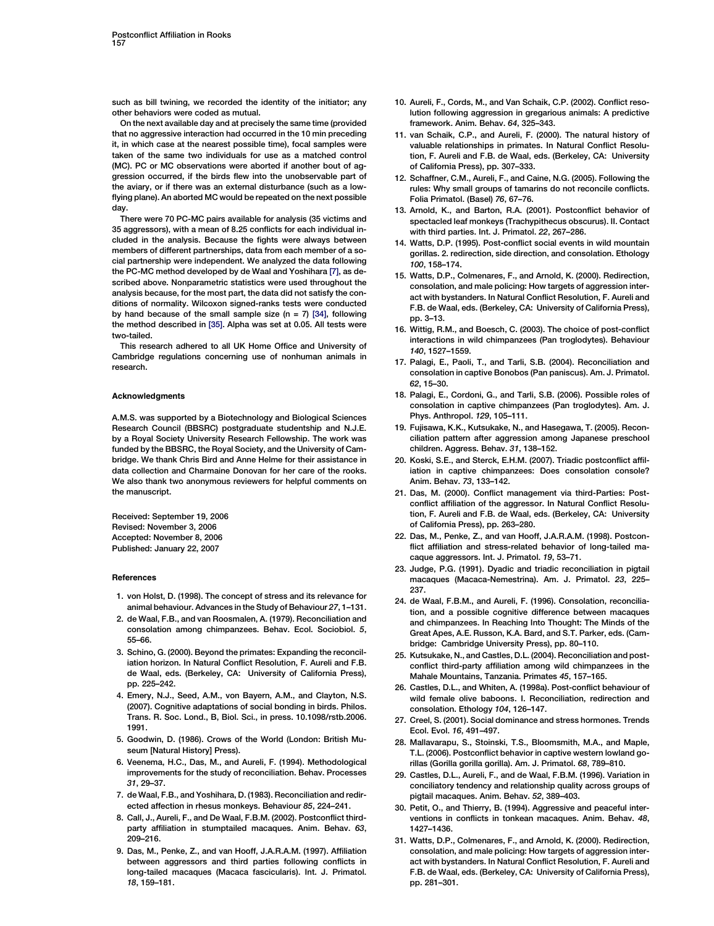<span id="page-5-0"></span>such as bill twining, we recorded the identity of the initiator; any other behaviors were coded as mutual.

On the next available day and at precisely the same time (provided that no aggressive interaction had occurred in the 10 min preceding it, in which case at the nearest possible time), focal samples were taken of the same two individuals for use as a matched control (MC). PC or MC observations were aborted if another bout of aggression occurred, if the birds flew into the unobservable part of the aviary, or if there was an external disturbance (such as a lowflying plane). An aborted MC would be repeated on the next possible day.

There were 70 PC-MC pairs available for analysis (35 victims and 35 aggressors), with a mean of 8.25 conflicts for each individual included in the analysis. Because the fights were always between members of different partnerships, data from each member of a social partnership were independent. We analyzed the data following the PC-MC method developed by de Waal and Yoshihara [7], as described above. Nonparametric statistics were used throughout the analysis because, for the most part, the data did not satisfy the conditions of normality. Wilcoxon signed-ranks tests were conducted by hand because of the small sample size  $(n = 7)$  [\[34\],](#page-6-0) following the method described in [\[35\]](#page-6-0). Alpha was set at 0.05. All tests were two-tailed.

This research adhered to all UK Home Office and University of Cambridge regulations concerning use of nonhuman animals in research.

#### **Acknowledaments**

A.M.S. was supported by a Biotechnology and Biological Sciences Research Council (BBSRC) postgraduate studentship and N.J.E. by a Royal Society University Research Fellowship. The work was funded by the BBSRC, the Royal Society, and the University of Cambridge. We thank Chris Bird and Anne Helme for their assistance in data collection and Charmaine Donovan for her care of the rooks. We also thank two anonymous reviewers for helpful comments on the manuscript.

Received: September 19, 2006 Revised: November 3, 2006 Accepted: November 8, 2006 Published: January 22, 2007

#### References

- 1. von Holst, D. (1998). The concept of stress and its relevance for animal behaviour. Advances in the Study of Behaviour 27, 1–131.
- 2. de Waal, F.B., and van Roosmalen, A. (1979). Reconciliation and consolation among chimpanzees. Behav. Ecol. Sociobiol. 5, 55–66.
- 3. Schino, G. (2000). Beyond the primates: Expanding the reconciliation horizon. In Natural Conflict Resolution, F. Aureli and F.B. de Waal, eds. (Berkeley, CA: University of California Press), pp. 225–242.
- 4. Emery, N.J., Seed, A.M., von Bayern, A.M., and Clayton, N.S. (2007). Cognitive adaptations of social bonding in birds. Philos. Trans. R. Soc. Lond., B, Biol. Sci., in press. 10.1098/rstb.2006. 1991.
- 5. Goodwin, D. (1986). Crows of the World (London: British Museum [Natural History] Press).
- 6. Veenema, H.C., Das, M., and Aureli, F. (1994). Methodological improvements for the study of reconciliation. Behav. Processes 31, 29–37.
- 7. de Waal, F.B., and Yoshihara, D. (1983). Reconciliation and redirected affection in rhesus monkeys. Behaviour 85, 224–241.
- 8. Call, J., Aureli, F., and De Waal, F.B.M. (2002). Postconflict thirdparty affiliation in stumptailed macaques. Anim. Behav. 63, 209–216.
- 9. Das, M., Penke, Z., and van Hooff, J.A.R.A.M. (1997). Affiliation between aggressors and third parties following conflicts in long-tailed macaques (Macaca fascicularis). Int. J. Primatol. 18, 159–181.
- 10. Aureli, F., Cords, M., and Van Schaik, C.P. (2002). Conflict resolution following aggression in gregarious animals: A predictive framework. Anim. Behav. 64, 325–343.
- 11. van Schaik, C.P., and Aureli, F. (2000). The natural history of valuable relationships in primates. In Natural Conflict Resolution, F. Aureli and F.B. de Waal, eds. (Berkeley, CA: University of California Press), pp. 307–333.
- 12. Schaffner, C.M., Aureli, F., and Caine, N.G. (2005). Following the rules: Why small groups of tamarins do not reconcile conflicts. Folia Primatol. (Basel) 76, 67–76.
- 13. Arnold, K., and Barton, R.A. (2001). Postconflict behavior of spectacled leaf monkeys (Trachypithecus obscurus). II. Contact with third parties. Int. J. Primatol. 22, 267–286.
- 14. Watts, D.P. (1995). Post-conflict social events in wild mountain gorillas. 2. redirection, side direction, and consolation. Ethology 100, 158–174.
- 15. Watts, D.P., Colmenares, F., and Arnold, K. (2000). Redirection, consolation, and male policing: How targets of aggression interact with bystanders. In Natural Conflict Resolution, F. Aureli and F.B. de Waal, eds. (Berkeley, CA: University of California Press), pp. 3–13.
- 16. Wittig, R.M., and Boesch, C. (2003). The choice of post-conflict interactions in wild chimpanzees (Pan troglodytes). Behaviour 140, 1527–1559.
- 17. Palagi, E., Paoli, T., and Tarli, S.B. (2004). Reconciliation and consolation in captive Bonobos (Pan paniscus). Am. J. Primatol. 62, 15–30.
- 18. Palagi, E., Cordoni, G., and Tarli, S.B. (2006). Possible roles of consolation in captive chimpanzees (Pan troglodytes). Am. J. Phys. Anthropol. 129, 105–111.
- 19. Fujisawa, K.K., Kutsukake, N., and Hasegawa, T. (2005). Reconciliation pattern after aggression among Japanese preschool children. Aggress. Behav. 31, 138–152.
- 20. Koski, S.E., and Sterck, E.H.M. (2007). Triadic postconflict affiliation in captive chimpanzees: Does consolation console? Anim. Behav. 73, 133–142.
- 21. Das, M. (2000). Conflict management via third-Parties: Postconflict affiliation of the aggressor. In Natural Conflict Resolution, F. Aureli and F.B. de Waal, eds. (Berkeley, CA: University of California Press), pp. 263–280.
- 22. Das, M., Penke, Z., and van Hooff, J.A.R.A.M. (1998). Postconflict affiliation and stress-related behavior of long-tailed macaque aggressors. Int. J. Primatol. 19, 53–71.
- 23. Judge, P.G. (1991). Dyadic and triadic reconciliation in pigtail macaques (Macaca-Nemestrina). Am. J. Primatol. 23, 225– 237.
- 24. de Waal, F.B.M., and Aureli, F. (1996). Consolation, reconciliation, and a possible cognitive difference between macaques and chimpanzees. In Reaching Into Thought: The Minds of the Great Apes, A.E. Russon, K.A. Bard, and S.T. Parker, eds. (Cambridge: Cambridge University Press), pp. 80–110.
- 25. Kutsukake, N., and Castles, D.L. (2004). Reconciliation and postconflict third-party affiliation among wild chimpanzees in the Mahale Mountains, Tanzania. Primates 45, 157–165.
- 26. Castles, D.L., and Whiten, A. (1998a). Post-conflict behaviour of wild female olive baboons. I. Reconciliation, redirection and consolation. Ethology 104, 126–147.
- 27. Creel, S. (2001). Social dominance and stress hormones. Trends Ecol. Evol. 16, 491–497.
- 28. Mallavarapu, S., Stoinski, T.S., Bloomsmith, M.A., and Maple, T.L. (2006). Postconflict behavior in captive western lowland gorillas (Gorilla gorilla gorilla). Am. J. Primatol. 68, 789–810.
- 29. Castles, D.L., Aureli, F., and de Waal, F.B.M. (1996). Variation in conciliatory tendency and relationship quality across groups of pigtail macaques. Anim. Behav. 52, 389–403.
- 30. Petit, O., and Thierry, B. (1994). Aggressive and peaceful interventions in conflicts in tonkean macaques. Anim. Behav. 48, 1427–1436.
- 31. Watts, D.P., Colmenares, F., and Arnold, K. (2000). Redirection, consolation, and male policing: How targets of aggression interact with bystanders. In Natural Conflict Resolution, F. Aureli and F.B. de Waal, eds. (Berkeley, CA: University of California Press), pp. 281–301.